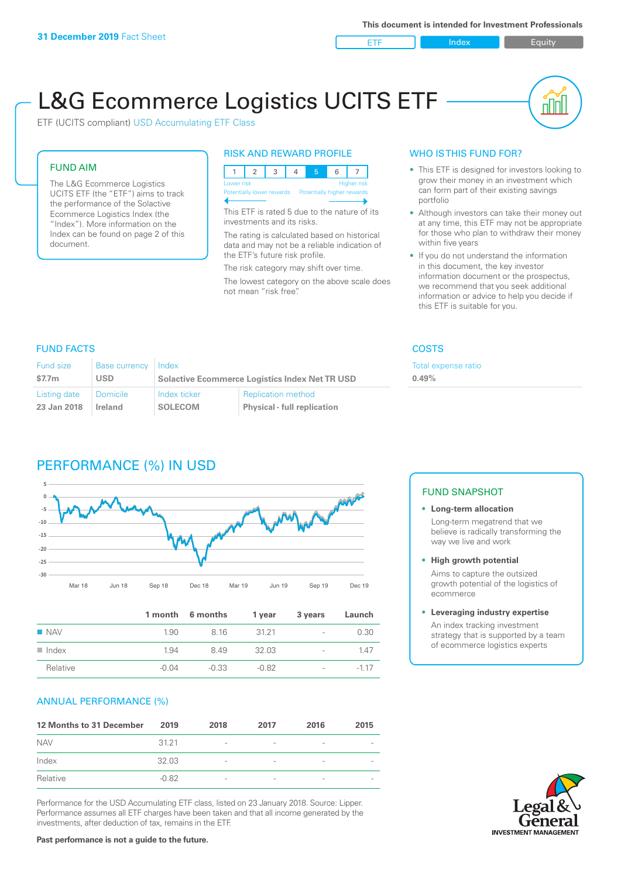ETF Index Builty

nN

# L&G Ecommerce Logistics UCITS ETF

ETF (UCITS compliant) USD Accumulating ETF Class

### FUND AIM

The L&G Ecommerce Logistics UCITS ETF (the "ETF") aims to track the performance of the Solactive Ecommerce Logistics Index (the "Index"). More information on the Index can be found on page 2 of this document.

### RISK AND REWARD PROFILE



This ETF is rated 5 due to the nature of its investments and its risks.

The rating is calculated based on historical data and may not be a reliable indication of the ETF's future risk profile.

The risk category may shift over time. The lowest category on the above scale does not mean "risk free".

### WHO IS THIS FUND FOR?

- This ETF is designed for investors looking to grow their money in an investment which can form part of their existing savings portfolio
- Although investors can take their money out at any time, this ETF may not be appropriate for those who plan to withdraw their money within five years
- If you do not understand the information in this document, the key investor information document or the prospectus, we recommend that you seek additional information or advice to help you decide if this ETF is suitable for you.

**0.49%**

Total expense ratio

### FUND FACTS COSTS

| Fund size<br>\$7.7m | Base currency Index<br>USD. | <b>Solactive Ecommerce Logistics Index Net TR USD</b> |                                    |  |
|---------------------|-----------------------------|-------------------------------------------------------|------------------------------------|--|
| Listing date        | l Domicile                  | Index ticker                                          | <b>Replication method</b>          |  |
| 23 Jan 2018         | Ireland                     | <b>SOLECOM</b>                                        | <b>Physical - full replication</b> |  |

## PERFORMANCE (%) IN USD



|                      |         | 1 month 6 months | 1 year | 3 years                  | Launch |
|----------------------|---------|------------------|--------|--------------------------|--------|
| <b>NAV</b>           | 1.90    | 816              | 3121   | $\sim$                   | 0.30   |
| $\blacksquare$ Index | 1.94    | 849              | 32.03  | $\overline{\phantom{a}}$ | 147    |
| Relative             | $-0.04$ | $-0.33$          | -0.82  | $\overline{\phantom{a}}$ | $-117$ |

### ANNUAL PERFORMANCE (%)

| 12 Months to 31 December | 2019    | 2018                     | 2017                     | 2016                     | 2015                     |
|--------------------------|---------|--------------------------|--------------------------|--------------------------|--------------------------|
| <b>NAV</b>               | 3121    | $\overline{\phantom{a}}$ | $\overline{\phantom{a}}$ | $\qquad \qquad$          | $\overline{\phantom{a}}$ |
| Index                    | 32.03   | $\overline{\phantom{a}}$ | $\qquad \qquad$          | $\overline{\phantom{a}}$ | $\overline{\phantom{a}}$ |
| Relative                 | $-0.82$ | $\overline{\phantom{a}}$ | $\overline{\phantom{a}}$ |                          | $\overline{\phantom{a}}$ |

Performance for the USD Accumulating ETF class, listed on 23 January 2018. Source: Lipper. Performance assumes all ETF charges have been taken and that all income generated by the investments, after deduction of tax, remains in the ETF.

### FUND SNAPSHOT

- **• Long-term allocation** Long-term megatrend that we believe is radically transforming the way we live and work
- **• High growth potential** Aims to capture the outsized

growth potential of the logistics of ecommerce

### **• Leveraging industry expertise**

An index tracking investment strategy that is supported by a team of ecommerce logistics experts

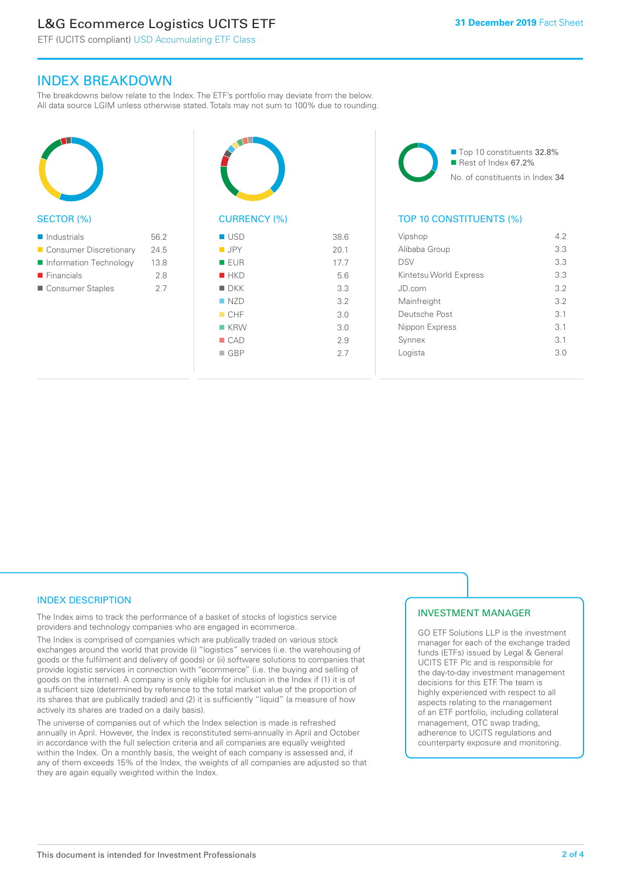### L&G Ecommerce Logistics UCITS ETF

ETF (UCITS compliant) USD Accumulating ETF Class

### INDEX BREAKDOWN

The breakdowns below relate to the Index. The ETF's portfolio may deviate from the below. All data source LGIM unless otherwise stated. Totals may not sum to 100% due to rounding.



### SECTOR (%)

| $\blacksquare$ Industrials | 56.2 |
|----------------------------|------|
| ■ Consumer Discretionary   | 24.5 |
| Information Technology     | 13.8 |
| $\blacksquare$ Financials  | 28   |
| ■ Consumer Staples         | 27   |



## CURRENCY (%)

| $\blacksquare$ USD | 38.6 |
|--------------------|------|
| <b>D</b> JPY       | 20.1 |
| <b>EUR</b>         | 17.7 |
| HKD                | 5.6  |
| $\blacksquare$ DKK | 3.3  |
| $\Box$ NZD         | 3.2  |
| CHF                | 3.0  |
| $K$ KRW            | 3.0  |
| CAD                | 2.9  |
| $\Box$ GBP         | 2.7  |
|                    |      |

■ Top 10 constituents 32.8% Rest of Index 67.2% No. of constituents in Index 34

### TOP 10 CONSTITUENTS (%)

| Vipshop                | 42              |
|------------------------|-----------------|
| Alibaba Group          | 3.3             |
| <b>DSV</b>             | 3.3             |
| Kintetsu World Express | 3.3             |
| JD.com                 | 3.2             |
| Mainfreight            | 3.2             |
| Deutsche Post          | 3.1             |
| Nippon Express         | $\overline{3}1$ |
| Synnex                 | 3.1             |
| Logista                | 3.0             |
|                        |                 |

### INDEX DESCRIPTION

The Index aims to track the performance of a basket of stocks of logistics service providers and technology companies who are engaged in ecommerce.

The Index is comprised of companies which are publically traded on various stock exchanges around the world that provide (i) "logistics" services (i.e. the warehousing of goods or the fulfilment and delivery of goods) or (ii) software solutions to companies that provide logistic services in connection with "ecommerce" (i.e. the buying and selling of goods on the internet). A company is only eligible for inclusion in the Index if (1) it is of a sufficient size (determined by reference to the total market value of the proportion of its shares that are publically traded) and (2) it is sufficiently "liquid" (a measure of how actively its shares are traded on a daily basis).

The universe of companies out of which the Index selection is made is refreshed annually in April. However, the Index is reconstituted semi-annually in April and October in accordance with the full selection criteria and all companies are equally weighted within the Index. On a monthly basis, the weight of each company is assessed and, if any of them exceeds 15% of the Index, the weights of all companies are adjusted so that they are again equally weighted within the Index.

### INVESTMENT MANAGER

GO ETF Solutions LLP is the investment manager for each of the exchange traded funds (ETFs) issued by Legal & General UCITS ETF Plc and is responsible for the day-to-day investment management decisions for this ETF. The team is highly experienced with respect to all aspects relating to the management of an ETF portfolio, including collateral management, OTC swap trading, adherence to UCITS regulations and counterparty exposure and monitoring.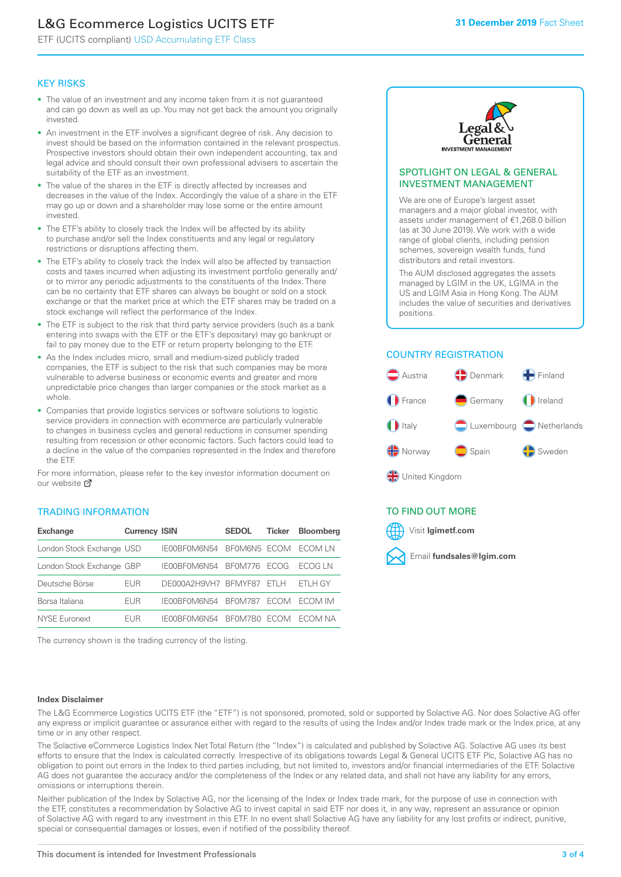### L&G Ecommerce Logistics UCITS ETF

ETF (UCITS compliant) USD Accumulating ETF Class

### KEY RISKS

- The value of an investment and any income taken from it is not guaranteed and can go down as well as up. You may not get back the amount you originally invested.
- An investment in the ETF involves a significant degree of risk. Any decision to invest should be based on the information contained in the relevant prospectus. Prospective investors should obtain their own independent accounting, tax and legal advice and should consult their own professional advisers to ascertain the suitability of the ETF as an investment.
- The value of the shares in the ETF is directly affected by increases and decreases in the value of the Index. Accordingly the value of a share in the ETF may go up or down and a shareholder may lose some or the entire amount invested.
- The ETF's ability to closely track the Index will be affected by its ability to purchase and/or sell the Index constituents and any legal or regulatory restrictions or disruptions affecting them.
- The ETF's ability to closely track the Index will also be affected by transaction costs and taxes incurred when adjusting its investment portfolio generally and/ or to mirror any periodic adjustments to the constituents of the Index. There can be no certainty that ETF shares can always be bought or sold on a stock exchange or that the market price at which the ETF shares may be traded on a stock exchange will reflect the performance of the Index.
- The ETF is subject to the risk that third party service providers (such as a bank entering into swaps with the ETF or the ETF's depositary) may go bankrupt or fail to pay money due to the ETF or return property belonging to the ETF.
- As the Index includes micro, small and medium-sized publicly traded companies, the ETF is subject to the risk that such companies may be more vulnerable to adverse business or economic events and greater and more unpredictable price changes than larger companies or the stock market as a whole.
- Companies that provide logistics services or software solutions to logistic service providers in connection with ecommerce are particularly vulnerable to changes in business cycles and general reductions in consumer spending resulting from recession or other economic factors. Such factors could lead to a decline in the value of the companies represented in the Index and therefore the ETF.

For more information, please refer to the key investor information document on our website **Z** 

### TRADING INFORMATION

| <b>Exchange</b>           | <b>Currency ISIN</b> |                      | <b>SEDOL</b>   | <b>Ticker</b> | Bloomberg |
|---------------------------|----------------------|----------------------|----------------|---------------|-----------|
| London Stock Exchange USD |                      | IE00BF0M6N54         | BFOM6N5 ECOM   |               | ECOM LN   |
| London Stock Exchange GBP |                      | IE00BF0M6N54         | <b>BF0M776</b> | <b>FCOG</b>   | FCOG IN   |
| Deutsche Börse            | EUR                  | DE000A2H9VH7 BFMYF87 |                | FTI H         | ETLH GY   |
| Borsa Italiana            | EUR                  | IF00BF0M6N54         | <b>BF0M787</b> | <b>FCOM</b>   | ECOM IM   |
| <b>NYSE Euronext</b>      | <b>FUR</b>           | IF00BF0M6N54         | BF0M7B0        | <b>FCOM</b>   | FCOM NA   |

The currency shown is the trading currency of the listing.



#### SPOTLIGHT ON LEGAL & GENERAL INVESTMENT MANAGEMENT

We are one of Europe's largest asset managers and a major global investor, with assets under management of €1,268.0 billion (as at 30 June 2019). We work with a wide range of global clients, including pension schemes, sovereign wealth funds, fund distributors and retail investors.

The AUM disclosed aggregates the assets managed by LGIM in the UK, LGIMA in the US and LGIM Asia in Hong Kong. The AUM includes the value of securities and derivatives positions.

### COUNTRY REGISTRATION



∰ United Kingdom

### TO FIND OUT MORE



#### **Index Disclaimer**

The L&G Ecommerce Logistics UCITS ETF (the "ETF") is not sponsored, promoted, sold or supported by Solactive AG. Nor does Solactive AG offer any express or implicit guarantee or assurance either with regard to the results of using the Index and/or Index trade mark or the Index price, at any time or in any other respect.

The Solactive eCommerce Logistics Index Net Total Return (the "Index") is calculated and published by Solactive AG. Solactive AG uses its best efforts to ensure that the Index is calculated correctly. Irrespective of its obligations towards Legal & General UCITS ETF Plc, Solactive AG has no obligation to point out errors in the Index to third parties including, but not limited to, investors and/or financial intermediaries of the ETF. Solactive AG does not guarantee the accuracy and/or the completeness of the Index or any related data, and shall not have any liability for any errors, omissions or interruptions therein.

Neither publication of the Index by Solactive AG, nor the licensing of the Index or Index trade mark, for the purpose of use in connection with the ETF, constitutes a recommendation by Solactive AG to invest capital in said ETF nor does it, in any way, represent an assurance or opinion of Solactive AG with regard to any investment in this ETF. In no event shall Solactive AG have any liability for any lost profits or indirect, punitive, special or consequential damages or losses, even if notified of the possibility thereof.